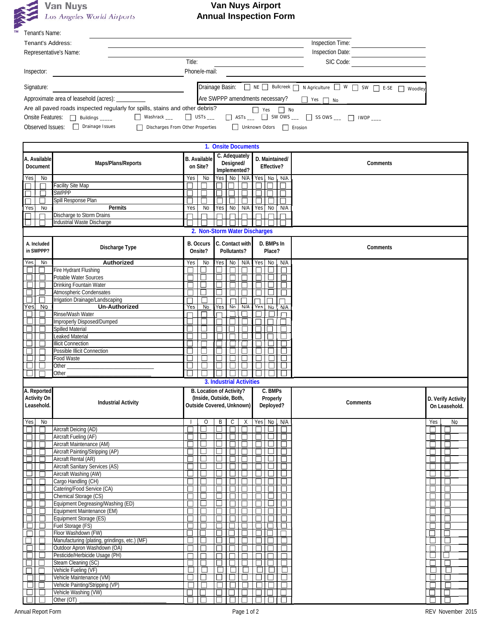

## **Van Nuys Airport Annual Inspection Form**

| Tenant's Name:           |                                                                                                                                                                                                                                         |                                    |                                                                            |                         |                                                                                      |                    |  |  |  |  |
|--------------------------|-----------------------------------------------------------------------------------------------------------------------------------------------------------------------------------------------------------------------------------------|------------------------------------|----------------------------------------------------------------------------|-------------------------|--------------------------------------------------------------------------------------|--------------------|--|--|--|--|
| Tenant's Address:        |                                                                                                                                                                                                                                         |                                    |                                                                            |                         | Inspection Time:                                                                     |                    |  |  |  |  |
|                          | Representative's Name:                                                                                                                                                                                                                  |                                    | Inspection Date:                                                           |                         |                                                                                      |                    |  |  |  |  |
|                          |                                                                                                                                                                                                                                         | Title:                             |                                                                            | SIC Code:               |                                                                                      |                    |  |  |  |  |
| Inspector:               |                                                                                                                                                                                                                                         |                                    | Phone/e-mail:                                                              |                         |                                                                                      |                    |  |  |  |  |
| Signature:               |                                                                                                                                                                                                                                         |                                    | Drainage Basin: □ NE □ Bullcreek □ N Agriculture □ W □ SW □ E-SE □ Woodley |                         |                                                                                      |                    |  |  |  |  |
|                          | Approximate area of leasehold (acres): __________                                                                                                                                                                                       |                                    |                                                                            |                         |                                                                                      |                    |  |  |  |  |
|                          | Are all paved roads inspected regularly for spills, stains and other debris?                                                                                                                                                            |                                    |                                                                            | $\Box$ Yes $\Box$ No    |                                                                                      |                    |  |  |  |  |
|                          | Onsite Features: Suildings Suildings Suildings Suildings Suildings Suildings Suildings Suildings Suildings Suildings Suildings Suildings Suildings Suildings Suildings Suildings Suildings Suildings Suildings Suildings Suild          |                                    |                                                                            |                         | $\Box$ USTs $\Box$ ASTs $\Box$ $\Box$ SW OWS $\Box$ SS OWS $\Box$ $\Box$ IWDP $\Box$ |                    |  |  |  |  |
|                          | Observed Issues: Dorainage Issues<br>Discharges From Other Properties                                                                                                                                                                   |                                    |                                                                            | Unknown Odors   Erosion |                                                                                      |                    |  |  |  |  |
|                          |                                                                                                                                                                                                                                         |                                    |                                                                            |                         |                                                                                      |                    |  |  |  |  |
|                          |                                                                                                                                                                                                                                         |                                    | 1. Onsite Documents                                                        |                         |                                                                                      |                    |  |  |  |  |
| A. Available             | Maps/Plans/Reports                                                                                                                                                                                                                      | <b>B.</b> Available                | C. Adequately<br>Designed/                                                 | D. Maintained/          | Comments                                                                             |                    |  |  |  |  |
| Document                 |                                                                                                                                                                                                                                         | on Site?                           | Implemented?                                                               | Effective?              |                                                                                      |                    |  |  |  |  |
| No<br>Yes                |                                                                                                                                                                                                                                         | No<br>Yes                          | Yes<br>No N/A                                                              | Yes No N/A              |                                                                                      |                    |  |  |  |  |
| П                        | <b>Facility Site Map</b><br><b>SWPPP</b>                                                                                                                                                                                                |                                    |                                                                            |                         |                                                                                      |                    |  |  |  |  |
|                          | Spill Response Plan                                                                                                                                                                                                                     | П                                  |                                                                            |                         |                                                                                      |                    |  |  |  |  |
| <b>No</b><br>Yes         | Permits                                                                                                                                                                                                                                 | No<br>Yes                          | Yes<br>No<br>N/A                                                           | Yes<br>No<br>N/A        |                                                                                      |                    |  |  |  |  |
|                          | Discharge to Storm Drains                                                                                                                                                                                                               |                                    |                                                                            |                         |                                                                                      |                    |  |  |  |  |
|                          | Industrial Waste Discharge                                                                                                                                                                                                              |                                    | $\perp$<br>$\perp$<br>$\perp$                                              |                         |                                                                                      |                    |  |  |  |  |
|                          |                                                                                                                                                                                                                                         |                                    | 2. Non-Storm Water Discharges                                              |                         |                                                                                      |                    |  |  |  |  |
| A. Included<br>in SWPPP? | Discharge Type                                                                                                                                                                                                                          | <b>B.</b> Occurs<br>Onsite?        | C. Contact with<br>Pollutants?                                             | D. BMPs In<br>Place?    | Comments                                                                             |                    |  |  |  |  |
| No<br>Yes,               | Authorized                                                                                                                                                                                                                              | No<br>Yes                          | Yes<br>No<br>N/A                                                           | Yes  <br>No<br>N/A      |                                                                                      |                    |  |  |  |  |
|                          | Fire Hydrant Flushing                                                                                                                                                                                                                   |                                    |                                                                            |                         |                                                                                      |                    |  |  |  |  |
|                          | Potable Water Sources                                                                                                                                                                                                                   | □                                  |                                                                            |                         |                                                                                      |                    |  |  |  |  |
|                          | Drinking Fountain Water<br>Atmospheric Condensates                                                                                                                                                                                      | $\overline{\phantom{a}}$<br>$\Box$ |                                                                            |                         |                                                                                      |                    |  |  |  |  |
| $\Box$                   | Irrigation Drainage/Landscaping                                                                                                                                                                                                         |                                    |                                                                            |                         |                                                                                      |                    |  |  |  |  |
| <b>No</b><br>Yes)        | <b>Un-Authorized</b>                                                                                                                                                                                                                    | <b>No</b><br>Yes                   | Yes<br>N/A<br>No                                                           | Yes<br>No<br>N/A        |                                                                                      |                    |  |  |  |  |
|                          | Rinse/Wash Water                                                                                                                                                                                                                        |                                    |                                                                            |                         |                                                                                      |                    |  |  |  |  |
|                          | Improperly Disposed/Dumped<br>Spilled Material                                                                                                                                                                                          |                                    |                                                                            |                         |                                                                                      |                    |  |  |  |  |
|                          | Leaked Material                                                                                                                                                                                                                         |                                    |                                                                            |                         |                                                                                      |                    |  |  |  |  |
|                          | <b>Illicit Connection</b>                                                                                                                                                                                                               |                                    |                                                                            |                         |                                                                                      |                    |  |  |  |  |
|                          | <b>Possible Illicit Connection</b>                                                                                                                                                                                                      |                                    |                                                                            |                         |                                                                                      |                    |  |  |  |  |
|                          | Food Waste                                                                                                                                                                                                                              |                                    |                                                                            |                         |                                                                                      |                    |  |  |  |  |
|                          | Other and the contract of the contract of the contract of the contract of the contract of the contract of the contract of the contract of the contract of the contract of the contract of the contract of the contract of the<br>Other_ |                                    |                                                                            |                         |                                                                                      |                    |  |  |  |  |
|                          |                                                                                                                                                                                                                                         |                                    | 3. Industrial Activities                                                   |                         |                                                                                      |                    |  |  |  |  |
| A. Reported              |                                                                                                                                                                                                                                         |                                    | B. Location of Activity?                                                   | C. BMPs                 |                                                                                      |                    |  |  |  |  |
| <b>Activity On</b>       | <b>Industrial Activity</b>                                                                                                                                                                                                              |                                    | (Inside, Outside, Both,                                                    | Properly                | Comments                                                                             | D. Verify Activity |  |  |  |  |
| Leasehold.               |                                                                                                                                                                                                                                         |                                    | Outside Covered, Unknown)                                                  | Deployed?               |                                                                                      | On Leasehold.      |  |  |  |  |
| $\overline{N}$<br>Yes    |                                                                                                                                                                                                                                         | $\Omega$<br>J                      | $\sf B$<br>C.<br>X                                                         | N/A<br>Yes No           |                                                                                      | Yes<br>No          |  |  |  |  |
|                          | Aircraft Deicing (AD)                                                                                                                                                                                                                   | $\overline{\phantom{a}}$           |                                                                            |                         |                                                                                      |                    |  |  |  |  |
|                          | Aircraft Fueling (AF)                                                                                                                                                                                                                   | $\Box$<br>- 1                      |                                                                            |                         |                                                                                      |                    |  |  |  |  |
|                          | Aircraft Maintenance (AM)                                                                                                                                                                                                               |                                    |                                                                            |                         |                                                                                      |                    |  |  |  |  |
|                          | Aircraft Painting/Stripping (AP)                                                                                                                                                                                                        | Е                                  |                                                                            |                         |                                                                                      |                    |  |  |  |  |
|                          | Aircraft Rental (AR)<br><b>Aircraft Sanitary Services (AS)</b>                                                                                                                                                                          |                                    |                                                                            |                         |                                                                                      |                    |  |  |  |  |
|                          | Aircraft Washing (AW)                                                                                                                                                                                                                   | $\mathbf{I}$                       |                                                                            |                         |                                                                                      |                    |  |  |  |  |
|                          | Cargo Handling (CH)                                                                                                                                                                                                                     |                                    |                                                                            |                         |                                                                                      |                    |  |  |  |  |
|                          | Catering/Food Service (CA)                                                                                                                                                                                                              | Г                                  |                                                                            |                         |                                                                                      | г                  |  |  |  |  |
|                          | Chemical Storage (CS)                                                                                                                                                                                                                   |                                    |                                                                            |                         |                                                                                      |                    |  |  |  |  |
|                          | Equipment Degreasing/Washing (ED)<br>Equipment Maintenance (EM)                                                                                                                                                                         | ⊏                                  | $\mathcal{L}$                                                              |                         |                                                                                      |                    |  |  |  |  |
|                          | Equipment Storage (ES)                                                                                                                                                                                                                  | г                                  |                                                                            |                         |                                                                                      |                    |  |  |  |  |
|                          | Fuel Storage (FS)                                                                                                                                                                                                                       |                                    |                                                                            |                         |                                                                                      |                    |  |  |  |  |
|                          | Floor Washdown (FW)                                                                                                                                                                                                                     |                                    |                                                                            |                         |                                                                                      | П                  |  |  |  |  |
|                          | Manufacturing (plating, grindings, etc.) (MF)                                                                                                                                                                                           | L                                  |                                                                            |                         |                                                                                      |                    |  |  |  |  |
|                          | Outdoor Apron Washdown (OA)                                                                                                                                                                                                             |                                    |                                                                            |                         |                                                                                      |                    |  |  |  |  |
|                          | Pesticide/Herbicide Usage (PH)<br>Steam Cleaning (SC)                                                                                                                                                                                   | Г                                  |                                                                            |                         |                                                                                      | $\Box$             |  |  |  |  |
|                          | Vehicle Fueling (VF)                                                                                                                                                                                                                    | $\Box$                             |                                                                            |                         |                                                                                      | ш                  |  |  |  |  |
|                          | Vehicle Maintenance (VM)                                                                                                                                                                                                                | $\mathbf{L}$                       |                                                                            |                         |                                                                                      |                    |  |  |  |  |
|                          | Vehicle Painting/Stripping (VP)                                                                                                                                                                                                         |                                    |                                                                            |                         |                                                                                      |                    |  |  |  |  |
|                          | Vehicle Washing (VW)                                                                                                                                                                                                                    |                                    |                                                                            |                         |                                                                                      |                    |  |  |  |  |
|                          | Other (OT)                                                                                                                                                                                                                              | ┎                                  |                                                                            |                         |                                                                                      |                    |  |  |  |  |